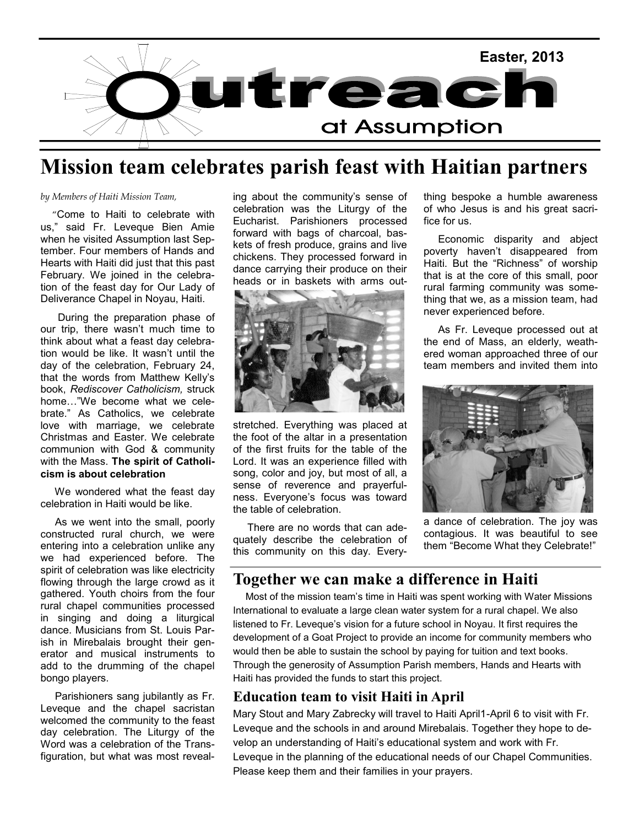

## **Mission team celebrates parish feast with Haitian partners**

#### *by Members of Haiti Mission Team,*

 "Come to Haiti to celebrate with us," said Fr. Leveque Bien Amie when he visited Assumption last September. Four members of Hands and Hearts with Haiti did just that this past February. We joined in the celebration of the feast day for Our Lady of Deliverance Chapel in Noyau, Haiti.

 During the preparation phase of our trip, there wasn't much time to think about what a feast day celebration would be like. It wasn't until the day of the celebration, February 24, that the words from Matthew Kelly's book, *Rediscover Catholicism,* struck home…"We become what we celebrate." As Catholics, we celebrate love with marriage, we celebrate Christmas and Easter. We celebrate communion with God & community with the Mass. **The spirit of Catholicism is about celebration**

We wondered what the feast day celebration in Haiti would be like.

 As we went into the small, poorly constructed rural church, we were entering into a celebration unlike any we had experienced before. The spirit of celebration was like electricity flowing through the large crowd as it gathered. Youth choirs from the four rural chapel communities processed in singing and doing a liturgical dance. Musicians from St. Louis Parish in Mirebalais brought their generator and musical instruments to add to the drumming of the chapel bongo players.

 Parishioners sang jubilantly as Fr. Leveque and the chapel sacristan welcomed the community to the feast day celebration. The Liturgy of the Word was a celebration of the Transfiguration, but what was most revealing about the community's sense of celebration was the Liturgy of the Eucharist. Parishioners processed forward with bags of charcoal, baskets of fresh produce, grains and live chickens. They processed forward in dance carrying their produce on their heads or in baskets with arms out-



stretched. Everything was placed at the foot of the altar in a presentation of the first fruits for the table of the Lord. It was an experience filled with song, color and joy, but most of all, a sense of reverence and prayerfulness. Everyone's focus was toward the table of celebration.

 There are no words that can adequately describe the celebration of this community on this day. Everything bespoke a humble awareness of who Jesus is and his great sacrifice for us.

 Economic disparity and abject poverty haven't disappeared from Haiti. But the "Richness" of worship that is at the core of this small, poor rural farming community was something that we, as a mission team, had never experienced before.

 As Fr. Leveque processed out at the end of Mass, an elderly, weathered woman approached three of our team members and invited them into



a dance of celebration. The joy was contagious. It was beautiful to see them "Become What they Celebrate!"

### **Together we can make a difference in Haiti**

 Most of the mission team's time in Haiti was spent working with Water Missions International to evaluate a large clean water system for a rural chapel. We also listened to Fr. Leveque's vision for a future school in Noyau. It first requires the development of a Goat Project to provide an income for community members who would then be able to sustain the school by paying for tuition and text books. Through the generosity of Assumption Parish members, Hands and Hearts with Haiti has provided the funds to start this project.

### **Education team to visit Haiti in April**

Mary Stout and Mary Zabrecky will travel to Haiti April1-April 6 to visit with Fr. Leveque and the schools in and around Mirebalais. Together they hope to develop an understanding of Haiti's educational system and work with Fr. Leveque in the planning of the educational needs of our Chapel Communities. Please keep them and their families in your prayers.